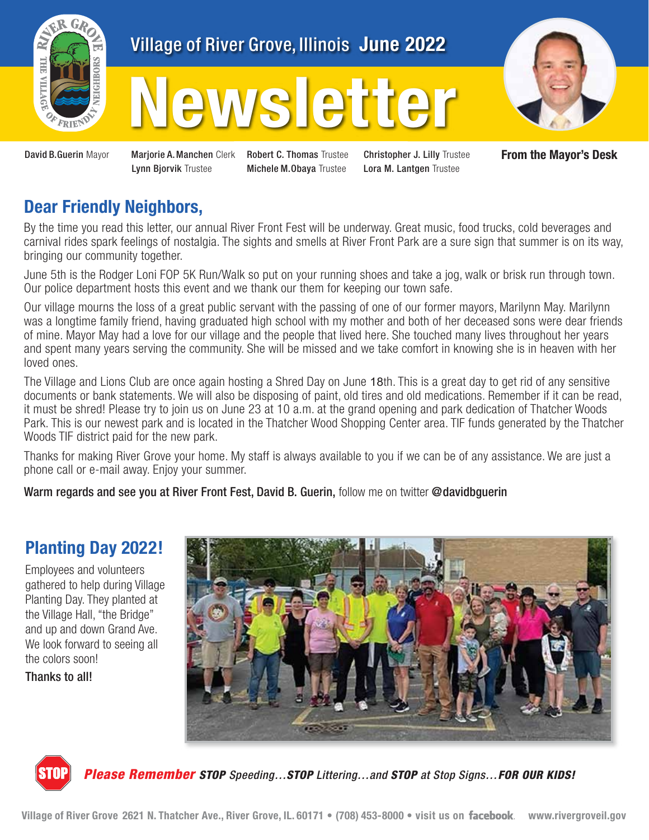

# Village of River Grove, Illinois June 2022

# **Newsletter**



David B.Guerin Mayor Marjorie A. Manchen Clerk Robert C. Thomas Trustee Lynn Bjorvik Trustee

Michele M.Obaya Trustee

Christopher J. Lilly Trustee Lora M. Lantgen Trustee

**From the Mayor's Desk** 

### **Dear Friendly Neighbors,**

By the time you read this letter, our annual River Front Fest will be underway. Great music, food trucks, cold beverages and carnival rides spark feelings of nostalgia. The sights and smells at River Front Park are a sure sign that summer is on its way, bringing our community together.

June 5th is the Rodger Loni FOP 5K Run/Walk so put on your running shoes and take a jog, walk or brisk run through town. Our police department hosts this event and we thank our them for keeping our town safe.

Our village mourns the loss of a great public servant with the passing of one of our former mayors, Marilynn May. Marilynn was a longtime family friend, having graduated high school with my mother and both of her deceased sons were dear friends of mine. Mayor May had a love for our village and the people that lived here. She touched many lives throughout her years and spent many years serving the community. She will be missed and we take comfort in knowing she is in heaven with her loved ones.

The Village and Lions Club are once again hosting a Shred Day on June 18th. This is a great day to get rid of any sensitive documents or bank statements. We will also be disposing of paint, old tires and old medications. Remember if it can be read, it must be shred! Please try to join us on June 23 at 10 a.m. at the grand opening and park dedication of Thatcher Woods Park. This is our newest park and is located in the Thatcher Wood Shopping Center area. TIF funds generated by the Thatcher Woods TIF district paid for the new park.

Thanks for making River Grove your home. My staff is always available to you if we can be of any assistance. We are just a phone call or e-mail away. Enjoy your summer.

Warm regards and see you at River Front Fest, David B. Guerin, follow me on twitter @davidbguerin

## **Planting Day 2022!**

Employees and volunteers gathered to help during Village Planting Day. They planted at the Village Hall, "the Bridge" and up and down Grand Ave. We look forward to seeing all the colors soon!

Thanks to all!





*Please Remember STOP Speeding…STOP Littering…and STOP at Stop Signs…FOR OUR KIDS!*